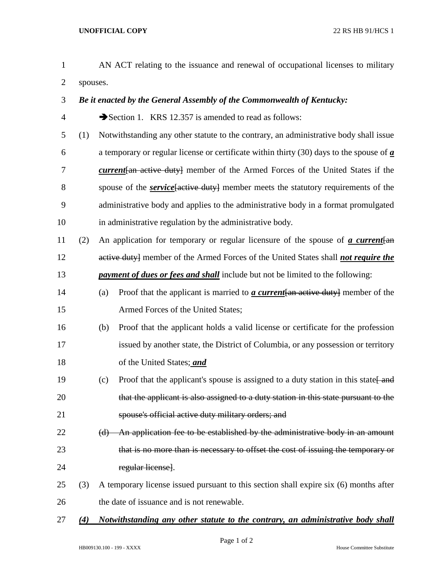| $\mathbf{1}$   |          | AN ACT relating to the issuance and renewal of occupational licenses to military                        |
|----------------|----------|---------------------------------------------------------------------------------------------------------|
| $\overline{2}$ | spouses. |                                                                                                         |
| 3              |          | Be it enacted by the General Assembly of the Commonwealth of Kentucky:                                  |
| $\overline{4}$ |          | Section 1. KRS 12.357 is amended to read as follows:                                                    |
| 5              | (1)      | Notwithstanding any other statute to the contrary, an administrative body shall issue                   |
| 6              |          | a temporary or regular license or certificate within thirty (30) days to the spouse of $\boldsymbol{a}$ |
| 7              |          | <b><i>current</i></b> and active duty member of the Armed Forces of the United States if the            |
| 8              |          | spouse of the <i>service</i> active duty member meets the statutory requirements of the                 |
| 9              |          | administrative body and applies to the administrative body in a format promulgated                      |
| 10             |          | in administrative regulation by the administrative body.                                                |
| 11             | (2)      | An application for temporary or regular licensure of the spouse of a current [an                        |
| 12             |          | active duty] member of the Armed Forces of the United States shall not require the                      |
| 13             |          | <i>payment of dues or fees and shall</i> include but not be limited to the following:                   |
| 14             |          | Proof that the applicant is married to $a$ current [an active duty] member of the<br>(a)                |
| 15             |          | Armed Forces of the United States;                                                                      |
| 16             |          | Proof that the applicant holds a valid license or certificate for the profession<br>(b)                 |
| 17             |          | issued by another state, the District of Columbia, or any possession or territory                       |
| 18             |          | of the United States; and                                                                               |
| 19             |          | Proof that the applicant's spouse is assigned to a duty station in this state and<br>(c)                |
| 20             |          | that the applicant is also assigned to a duty station in this state pursuant to the                     |
| 21             |          | spouse's official active duty military orders; and                                                      |
| 22             |          | (d) An application fee to be established by the administrative body in an amount                        |
| 23             |          | that is no more than is necessary to offset the cost of issuing the temporary or                        |
| 24             |          | regular license].                                                                                       |
| 25             | (3)      | A temporary license issued pursuant to this section shall expire six (6) months after                   |
| 26             |          | the date of issuance and is not renewable.                                                              |
| 27             | (4)      | Notwithstanding any other statute to the contrary, an administrative body shall                         |

HB009130.100 - 199 - XXXX House Committee Substitute

Page 1 of 2